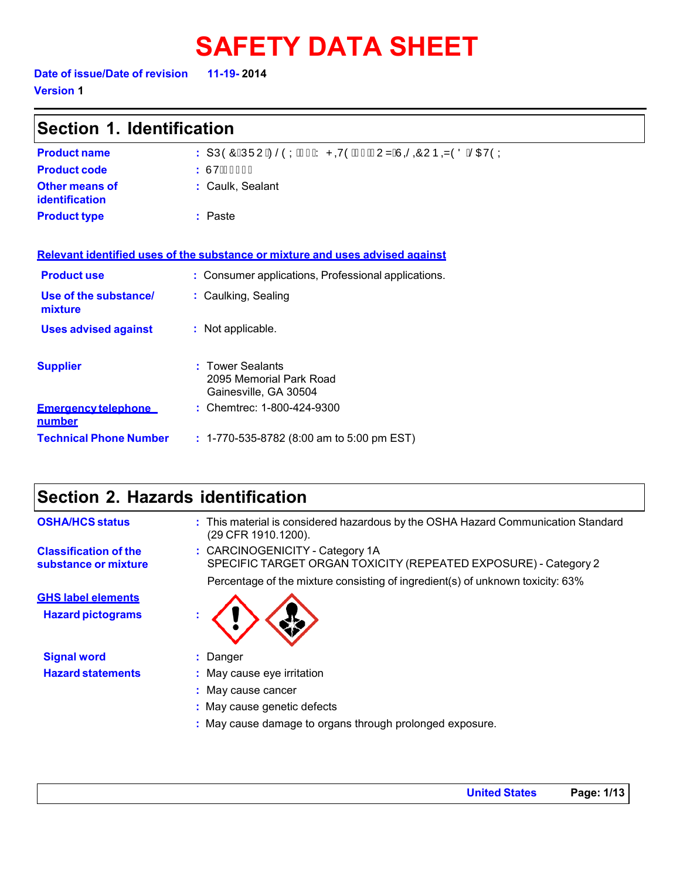# **SAFETY DATA SHEET**

**Version 1** 

| Section 1. Identification                   |                                                                               |  |
|---------------------------------------------|-------------------------------------------------------------------------------|--|
| <b>Product name</b>                         | : SÚÒÔËÚÜUÁZŠÒÝÁL€ÁY PQYÒÆF€ÈFUZÁÙŠŐÔUÞQZÒÖÁŠŒUÒÝ                             |  |
| <b>Product code</b>                         | : ÙVË€EF€F                                                                    |  |
| Other means of<br><b>identification</b>     | : Caulk, Sealant                                                              |  |
| <b>Product type</b>                         | : Paste                                                                       |  |
|                                             | Relevant identified uses of the substance or mixture and uses advised against |  |
| <b>Product use</b>                          | : Consumer applications, Professional applications.                           |  |
| Use of the substance/<br>mixture            | : Caulking, Sealing                                                           |  |
| <b>Uses advised against</b>                 | : Not applicable.                                                             |  |
| <b>Supplier</b>                             | <b>Tower Sealants</b><br>2095 Memorial Park Road<br>Gainesville, GA 30504     |  |
| <b>Emergency telephone</b><br><u>number</u> | : Chemtrec: 1-800-424-9300                                                    |  |
| <b>Technical Phone Number</b>               | : 1-770-535-8782 (8:00 am to 5:00 pm EST)                                     |  |

### **Section 2. Hazards identification**

| <b>OSHA/HCS status</b>                                | : This material is considered hazardous by the OSHA Hazard Communication Standard<br>(29 CFR 1910.1200).                                                                             |
|-------------------------------------------------------|--------------------------------------------------------------------------------------------------------------------------------------------------------------------------------------|
| <b>Classification of the</b><br>substance or mixture  | : CARCINOGENICITY - Category 1A<br>SPECIFIC TARGET ORGAN TOXICITY (REPEATED EXPOSURE) - Category 2<br>Percentage of the mixture consisting of ingredient(s) of unknown toxicity: 63% |
| <b>GHS label elements</b><br><b>Hazard pictograms</b> |                                                                                                                                                                                      |
| <b>Signal word</b>                                    | : Danger                                                                                                                                                                             |
| <b>Hazard statements</b>                              | : May cause eye irritation                                                                                                                                                           |
|                                                       | : May cause cancer                                                                                                                                                                   |
|                                                       | : May cause genetic defects                                                                                                                                                          |
|                                                       | : May cause damage to organs through prolonged exposure.                                                                                                                             |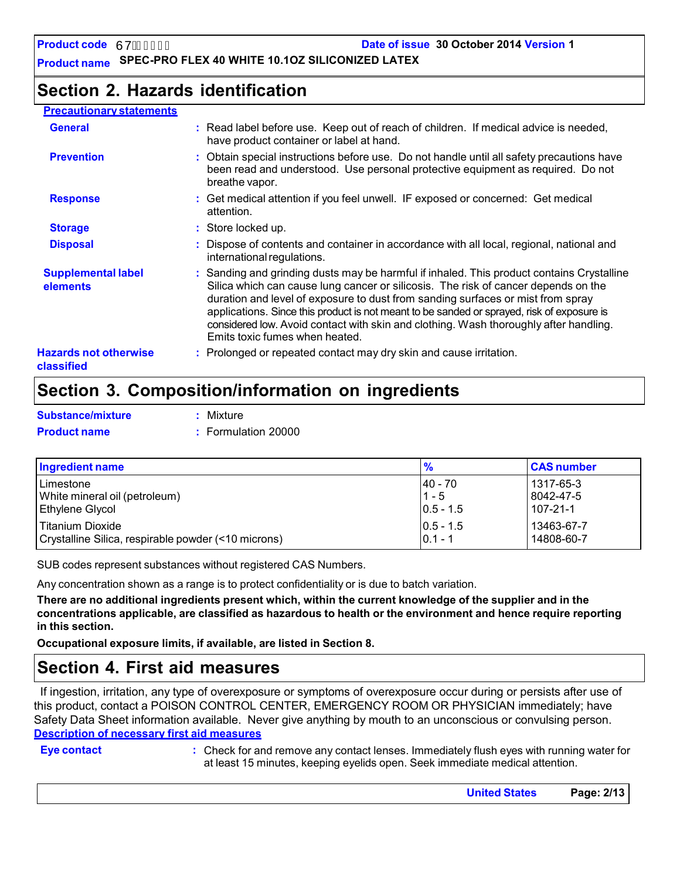**Date of issue 30 October 2014 Version 1**

**Product name SPEC-PRO FLEX 40 WHITE 10.1OZ SILICONIZED LATEX**

### **Section 2. Hazards identification**

#### **Precautionary statements**

| <b>General</b>                             | : Read label before use. Keep out of reach of children. If medical advice is needed,<br>have product container or label at hand.                                                                                                                                                                                                                                                                                                                                                            |
|--------------------------------------------|---------------------------------------------------------------------------------------------------------------------------------------------------------------------------------------------------------------------------------------------------------------------------------------------------------------------------------------------------------------------------------------------------------------------------------------------------------------------------------------------|
| <b>Prevention</b>                          | : Obtain special instructions before use. Do not handle until all safety precautions have<br>been read and understood. Use personal protective equipment as required. Do not<br>breathe vapor.                                                                                                                                                                                                                                                                                              |
| <b>Response</b>                            | : Get medical attention if you feel unwell. IF exposed or concerned: Get medical<br>attention.                                                                                                                                                                                                                                                                                                                                                                                              |
| <b>Storage</b>                             | : Store locked up.                                                                                                                                                                                                                                                                                                                                                                                                                                                                          |
| <b>Disposal</b>                            | : Dispose of contents and container in accordance with all local, regional, national and<br>international regulations.                                                                                                                                                                                                                                                                                                                                                                      |
| <b>Supplemental label</b><br>elements      | : Sanding and grinding dusts may be harmful if inhaled. This product contains Crystalline<br>Silica which can cause lung cancer or silicosis. The risk of cancer depends on the<br>duration and level of exposure to dust from sanding surfaces or mist from spray<br>applications. Since this product is not meant to be sanded or sprayed, risk of exposure is<br>considered low. Avoid contact with skin and clothing. Wash thoroughly after handling.<br>Emits toxic fumes when heated. |
| <b>Hazards not otherwise</b><br>classified | : Prolonged or repeated contact may dry skin and cause irritation.                                                                                                                                                                                                                                                                                                                                                                                                                          |

### **Section 3. Composition/information on ingredients**

| Substance/mixture   | : Mixture           |
|---------------------|---------------------|
| <b>Product name</b> | : Formulation 20000 |

| Ingredient name                                     | $\frac{9}{6}$ | <b>CAS number</b> |
|-----------------------------------------------------|---------------|-------------------|
| l Limestone                                         | $ 40 - 70 $   | 1317-65-3         |
| White mineral oil (petroleum)                       | $11 - 5$      | 8042-47-5         |
| <b>Ethylene Glycol</b>                              | $ 0.5 - 1.5 $ | 107-21-1          |
| Titanium Dioxide                                    | $ 0.5 - 1.5 $ | 13463-67-7        |
| Crystalline Silica, respirable powder (<10 microns) | $0.1 - 1$     | 14808-60-7        |

SUB codes represent substances without registered CAS Numbers.

Any concentration shown as a range is to protect confidentiality or is due to batch variation.

There are no additional ingredients present which, within the current knowledge of the supplier and in the **concentrations applicable, are classified as hazardous to health or the environment and hence require reporting in this section.**

**Occupational exposure limits, if available, are listed in Section 8.**

### **Section 4. First aid measures**

If ingestion, irritation, any type of overexposure or symptoms of overexposure occur during or persists after use of this product, contact a POISON CONTROL CENTER, EMERGENCY ROOM OR PHYSICIAN immediately; have Safety Data Sheet information available. Never give anything by mouth to an unconscious or convulsing person. **Description of necessary first aid measures**

**Eye contact :** Check for and remove any contact lenses. Immediately flush eyes with running water for at least 15 minutes, keeping eyelids open. Seek immediate medical attention.

| Page: 2/13<br><b>United States</b> |  |
|------------------------------------|--|
|                                    |  |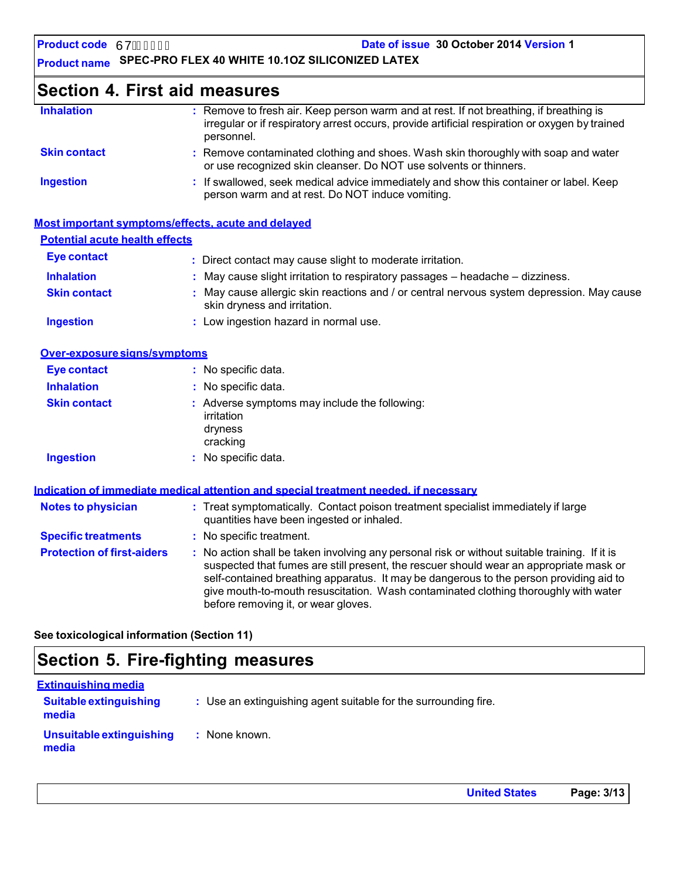**Product name SPEC-PRO FLEX 40 WHITE 10.1OZ SILICONIZED LATEX**

### **Section 4. First aid measures**

| <b>Inhalation</b>   | : Remove to fresh air. Keep person warm and at rest. If not breathing, if breathing is<br>irregular or if respiratory arrest occurs, provide artificial respiration or oxygen by trained<br>personnel. |
|---------------------|--------------------------------------------------------------------------------------------------------------------------------------------------------------------------------------------------------|
| <b>Skin contact</b> | : Remove contaminated clothing and shoes. Wash skin thoroughly with soap and water<br>or use recognized skin cleanser. Do NOT use solvents or thinners.                                                |
| <b>Ingestion</b>    | : If swallowed, seek medical advice immediately and show this container or label. Keep<br>person warm and at rest. Do NOT induce vomiting.                                                             |

|                                       | Most important symptoms/effects, acute and delayed                                                                        |
|---------------------------------------|---------------------------------------------------------------------------------------------------------------------------|
| <b>Potential acute health effects</b> |                                                                                                                           |
| <b>Eye contact</b>                    | : Direct contact may cause slight to moderate irritation.                                                                 |
| <b>Inhalation</b>                     | $\therefore$ May cause slight irritation to respiratory passages – headache – dizziness.                                  |
| <b>Skin contact</b>                   | : May cause allergic skin reactions and / or central nervous system depression. May cause<br>skin dryness and irritation. |
| <b>Ingestion</b>                      | : Low ingestion hazard in normal use.                                                                                     |

| Over-exposure signs/symptoms |                                                                                    |
|------------------------------|------------------------------------------------------------------------------------|
| Eye contact                  | : No specific data.                                                                |
| <b>Inhalation</b>            | : No specific data.                                                                |
| <b>Skin contact</b>          | : Adverse symptoms may include the following:<br>irritation<br>dryness<br>cracking |
| <b>Ingestion</b>             | : No specific data.                                                                |

|                                   | Indication of immediate medical attention and special treatment needed, if necessary                                                                                                                                                                                                                                                                                                                            |
|-----------------------------------|-----------------------------------------------------------------------------------------------------------------------------------------------------------------------------------------------------------------------------------------------------------------------------------------------------------------------------------------------------------------------------------------------------------------|
| <b>Notes to physician</b>         | : Treat symptomatically. Contact poison treatment specialist immediately if large<br>quantities have been ingested or inhaled.                                                                                                                                                                                                                                                                                  |
| <b>Specific treatments</b>        | : No specific treatment.                                                                                                                                                                                                                                                                                                                                                                                        |
| <b>Protection of first-aiders</b> | : No action shall be taken involving any personal risk or without suitable training. If it is<br>suspected that fumes are still present, the rescuer should wear an appropriate mask or<br>self-contained breathing apparatus. It may be dangerous to the person providing aid to<br>give mouth-to-mouth resuscitation. Wash contaminated clothing thoroughly with water<br>before removing it, or wear gloves. |

**See toxicological information (Section 11)**

### **Section 5. Fire-fighting measures**

| <u>Extinguishing media</u>             |                                                                 |
|----------------------------------------|-----------------------------------------------------------------|
| <b>Suitable extinguishing</b><br>media | : Use an extinguishing agent suitable for the surrounding fire. |
| Unsuitable extinguishing<br>media      | : None known.                                                   |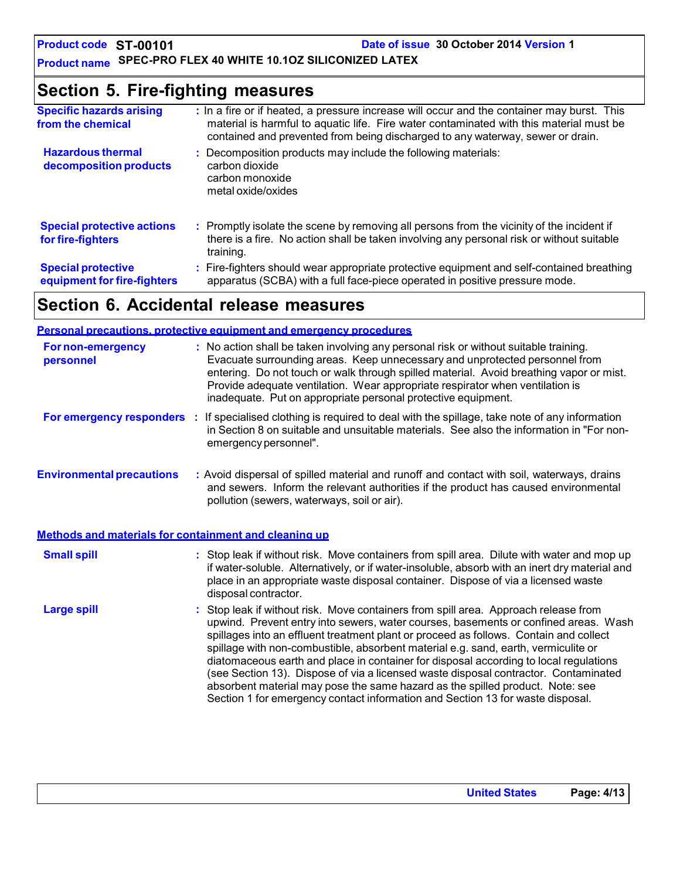### **Product name SPEC-PRO FLEX 40 WHITE 10.1OZ SILICONIZED LATEX**

### **Section 5. Fire-fighting measures**

| <b>Specific hazards arising</b><br>from the chemical     | : In a fire or if heated, a pressure increase will occur and the container may burst. This<br>material is harmful to aquatic life. Fire water contaminated with this material must be<br>contained and prevented from being discharged to any waterway, sewer or drain. |
|----------------------------------------------------------|-------------------------------------------------------------------------------------------------------------------------------------------------------------------------------------------------------------------------------------------------------------------------|
| <b>Hazardous thermal</b><br>decomposition products       | : Decomposition products may include the following materials:<br>carbon dioxide<br>carbon monoxide<br>metal oxide/oxides                                                                                                                                                |
| <b>Special protective actions</b><br>for fire-fighters   | : Promptly isolate the scene by removing all persons from the vicinity of the incident if<br>there is a fire. No action shall be taken involving any personal risk or without suitable<br>training.                                                                     |
| <b>Special protective</b><br>equipment for fire-fighters | : Fire-fighters should wear appropriate protective equipment and self-contained breathing<br>apparatus (SCBA) with a full face-piece operated in positive pressure mode.                                                                                                |

### **Section 6. Accidental release measures**

|                                                       | <b>Personal precautions, protective equipment and emergency procedures</b>                                                                                                                                                                                                                                                                                                                                                                                                                                                                                                                                                                                                                                   |
|-------------------------------------------------------|--------------------------------------------------------------------------------------------------------------------------------------------------------------------------------------------------------------------------------------------------------------------------------------------------------------------------------------------------------------------------------------------------------------------------------------------------------------------------------------------------------------------------------------------------------------------------------------------------------------------------------------------------------------------------------------------------------------|
| <b>For non-emergency</b><br>personnel                 | : No action shall be taken involving any personal risk or without suitable training.<br>Evacuate surrounding areas. Keep unnecessary and unprotected personnel from<br>entering. Do not touch or walk through spilled material. Avoid breathing vapor or mist.<br>Provide adequate ventilation. Wear appropriate respirator when ventilation is<br>inadequate. Put on appropriate personal protective equipment.                                                                                                                                                                                                                                                                                             |
|                                                       | For emergency responders : If specialised clothing is required to deal with the spillage, take note of any information<br>in Section 8 on suitable and unsuitable materials. See also the information in "For non-<br>emergency personnel".                                                                                                                                                                                                                                                                                                                                                                                                                                                                  |
| <b>Environmental precautions</b>                      | : Avoid dispersal of spilled material and runoff and contact with soil, waterways, drains<br>and sewers. Inform the relevant authorities if the product has caused environmental<br>pollution (sewers, waterways, soil or air).                                                                                                                                                                                                                                                                                                                                                                                                                                                                              |
| Methods and materials for containment and cleaning up |                                                                                                                                                                                                                                                                                                                                                                                                                                                                                                                                                                                                                                                                                                              |
| <b>Small spill</b>                                    | : Stop leak if without risk. Move containers from spill area. Dilute with water and mop up<br>if water-soluble. Alternatively, or if water-insoluble, absorb with an inert dry material and<br>place in an appropriate waste disposal container. Dispose of via a licensed waste<br>disposal contractor.                                                                                                                                                                                                                                                                                                                                                                                                     |
| <b>Large spill</b>                                    | : Stop leak if without risk. Move containers from spill area. Approach release from<br>upwind. Prevent entry into sewers, water courses, basements or confined areas. Wash<br>spillages into an effluent treatment plant or proceed as follows. Contain and collect<br>spillage with non-combustible, absorbent material e.g. sand, earth, vermiculite or<br>diatomaceous earth and place in container for disposal according to local regulations<br>(see Section 13). Dispose of via a licensed waste disposal contractor. Contaminated<br>absorbent material may pose the same hazard as the spilled product. Note: see<br>Section 1 for emergency contact information and Section 13 for waste disposal. |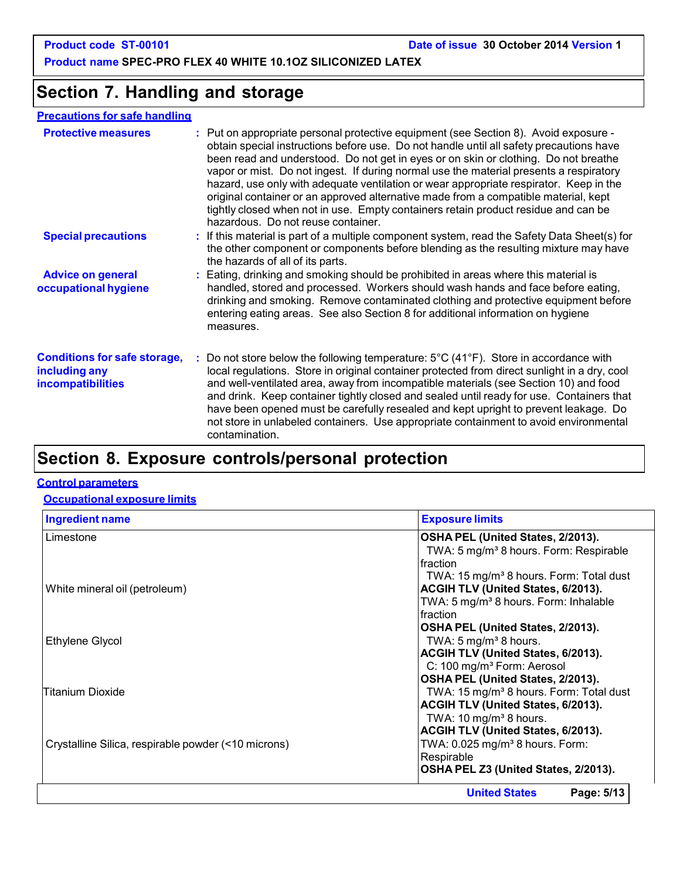**Product name SPEC-PRO FLEX 40 WHITE 10.1OZ SILICONIZED LATEX**

### **Section 7. Handling and storage**

#### **Precautions for safe handling**

| <b>Protective measures</b>                                                | : Put on appropriate personal protective equipment (see Section 8). Avoid exposure -<br>obtain special instructions before use. Do not handle until all safety precautions have<br>been read and understood. Do not get in eyes or on skin or clothing. Do not breathe<br>vapor or mist. Do not ingest. If during normal use the material presents a respiratory<br>hazard, use only with adequate ventilation or wear appropriate respirator. Keep in the<br>original container or an approved alternative made from a compatible material, kept<br>tightly closed when not in use. Empty containers retain product residue and can be<br>hazardous. Do not reuse container. |  |
|---------------------------------------------------------------------------|-------------------------------------------------------------------------------------------------------------------------------------------------------------------------------------------------------------------------------------------------------------------------------------------------------------------------------------------------------------------------------------------------------------------------------------------------------------------------------------------------------------------------------------------------------------------------------------------------------------------------------------------------------------------------------|--|
| <b>Special precautions</b>                                                | : If this material is part of a multiple component system, read the Safety Data Sheet(s) for<br>the other component or components before blending as the resulting mixture may have<br>the hazards of all of its parts.                                                                                                                                                                                                                                                                                                                                                                                                                                                       |  |
| <b>Advice on general</b><br>occupational hygiene                          | : Eating, drinking and smoking should be prohibited in areas where this material is<br>handled, stored and processed. Workers should wash hands and face before eating,<br>drinking and smoking. Remove contaminated clothing and protective equipment before<br>entering eating areas. See also Section 8 for additional information on hygiene<br>measures.                                                                                                                                                                                                                                                                                                                 |  |
| <b>Conditions for safe storage,</b><br>including any<br>incompatibilities | : Do not store below the following temperature: $5^{\circ}$ C (41 $^{\circ}$ F). Store in accordance with<br>local regulations. Store in original container protected from direct sunlight in a dry, cool<br>and well-ventilated area, away from incompatible materials (see Section 10) and food<br>and drink. Keep container tightly closed and sealed until ready for use. Containers that<br>have been opened must be carefully resealed and kept upright to prevent leakage. Do<br>not store in unlabeled containers. Use appropriate containment to avoid environmental<br>contamination.                                                                               |  |
|                                                                           |                                                                                                                                                                                                                                                                                                                                                                                                                                                                                                                                                                                                                                                                               |  |

### **Section 8. Exposure controls/personal protection**

#### **Control parameters**

#### **Occupational exposure limits**

| <b>Ingredient name</b>                              | <b>Exposure limits</b>                              |
|-----------------------------------------------------|-----------------------------------------------------|
| Limestone                                           | OSHA PEL (United States, 2/2013).                   |
|                                                     | TWA: 5 mg/m <sup>3</sup> 8 hours. Form: Respirable  |
|                                                     | Ifraction                                           |
|                                                     | TWA: 15 mg/m <sup>3</sup> 8 hours. Form: Total dust |
| White mineral oil (petroleum)                       | <b>ACGIH TLV (United States, 6/2013).</b>           |
|                                                     | TWA: 5 mg/m <sup>3</sup> 8 hours. Form: Inhalable   |
|                                                     | Ifraction                                           |
|                                                     | OSHA PEL (United States, 2/2013).                   |
| Ethylene Glycol                                     | TWA: $5 \text{ mg/m}^3$ 8 hours.                    |
|                                                     | ACGIH TLV (United States, 6/2013).                  |
|                                                     | C: 100 mg/m <sup>3</sup> Form: Aerosol              |
|                                                     | OSHA PEL (United States, 2/2013).                   |
| Titanium Dioxide                                    | TWA: 15 mg/m <sup>3</sup> 8 hours. Form: Total dust |
|                                                     | ACGIH TLV (United States, 6/2013).                  |
|                                                     | TWA: $10 \text{ mg/m}^3$ 8 hours.                   |
|                                                     | ACGIH TLV (United States, 6/2013).                  |
| Crystalline Silica, respirable powder (<10 microns) | TWA: 0.025 mg/m <sup>3</sup> 8 hours. Form:         |
|                                                     | Respirable                                          |
|                                                     | OSHA PEL Z3 (United States, 2/2013).                |
|                                                     | Page: 5/13<br><b>United States</b>                  |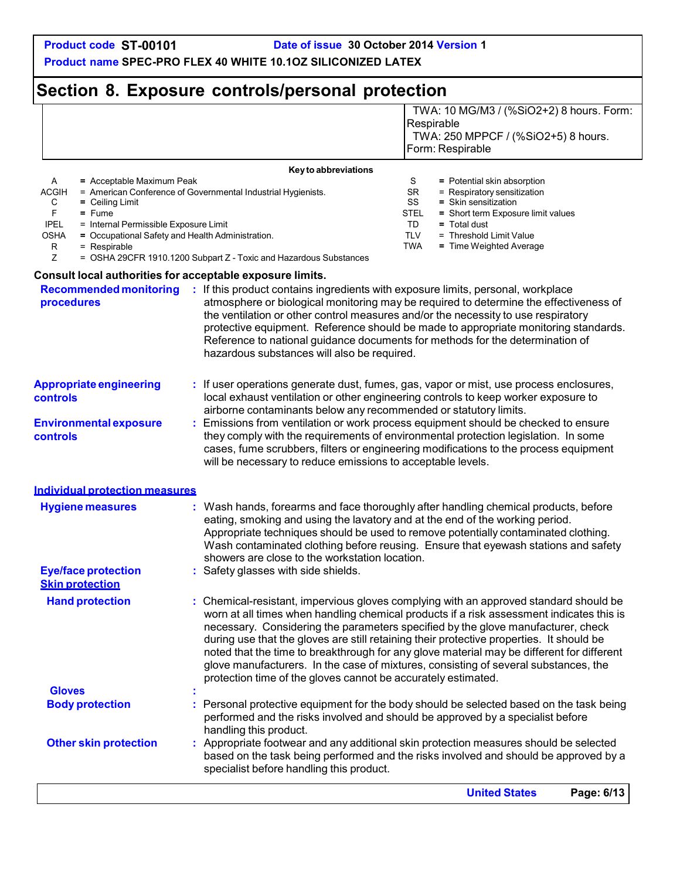Respirable

TWA: 10 MG/M3 / (%SiO2+2) 8 hours. Form:

**Product name SPEC-PRO FLEX 40 WHITE 10.1OZ SILICONIZED LATEX**

### **Section 8. Exposure controls/personal protection**

|                                                                                                                                                                                                                                           |                                                                                                                                                                                                                                                    | TWA: 250 MPPCF / (%SiO2+5) 8 hours.<br>Form: Respirable                                                                                                                                                                                                                                                                                                                                                                                                                                                                                               |
|-------------------------------------------------------------------------------------------------------------------------------------------------------------------------------------------------------------------------------------------|----------------------------------------------------------------------------------------------------------------------------------------------------------------------------------------------------------------------------------------------------|-------------------------------------------------------------------------------------------------------------------------------------------------------------------------------------------------------------------------------------------------------------------------------------------------------------------------------------------------------------------------------------------------------------------------------------------------------------------------------------------------------------------------------------------------------|
|                                                                                                                                                                                                                                           | Key to abbreviations                                                                                                                                                                                                                               |                                                                                                                                                                                                                                                                                                                                                                                                                                                                                                                                                       |
| A<br>= Acceptable Maximum Peak<br><b>ACGIH</b><br>С<br>$=$ Ceiling Limit<br>F<br>$=$ Fume<br><b>IPEL</b><br>= Internal Permissible Exposure Limit<br>= Occupational Safety and Health Administration.<br>OSHA<br>R<br>$=$ Respirable<br>Z | = American Conference of Governmental Industrial Hygienists.<br>= OSHA 29CFR 1910.1200 Subpart Z - Toxic and Hazardous Substances                                                                                                                  | S<br>= Potential skin absorption<br>SR<br>= Respiratory sensitization<br>SS<br>= Skin sensitization<br>STEL<br>= Short term Exposure limit values<br>TD<br>= Total dust<br><b>TLV</b><br>= Threshold Limit Value<br><b>TWA</b><br>= Time Weighted Average                                                                                                                                                                                                                                                                                             |
| Consult local authorities for acceptable exposure limits.                                                                                                                                                                                 |                                                                                                                                                                                                                                                    |                                                                                                                                                                                                                                                                                                                                                                                                                                                                                                                                                       |
| procedures                                                                                                                                                                                                                                | <b>Recommended monitoring : If this product contains ingredients with exposure limits, personal, workplace</b><br>the ventilation or other control measures and/or the necessity to use respiratory<br>hazardous substances will also be required. | atmosphere or biological monitoring may be required to determine the effectiveness of<br>protective equipment. Reference should be made to appropriate monitoring standards.<br>Reference to national guidance documents for methods for the determination of                                                                                                                                                                                                                                                                                         |
| <b>Appropriate engineering</b><br>controls                                                                                                                                                                                                | airborne contaminants below any recommended or statutory limits.                                                                                                                                                                                   | : If user operations generate dust, fumes, gas, vapor or mist, use process enclosures,<br>local exhaust ventilation or other engineering controls to keep worker exposure to                                                                                                                                                                                                                                                                                                                                                                          |
| <b>Environmental exposure</b><br>controls                                                                                                                                                                                                 | will be necessary to reduce emissions to acceptable levels.                                                                                                                                                                                        | Emissions from ventilation or work process equipment should be checked to ensure<br>they comply with the requirements of environmental protection legislation. In some<br>cases, fume scrubbers, filters or engineering modifications to the process equipment                                                                                                                                                                                                                                                                                        |
| Individual protection measures                                                                                                                                                                                                            |                                                                                                                                                                                                                                                    |                                                                                                                                                                                                                                                                                                                                                                                                                                                                                                                                                       |
| <b>Hygiene measures</b>                                                                                                                                                                                                                   | eating, smoking and using the lavatory and at the end of the working period.<br>showers are close to the workstation location.                                                                                                                     | : Wash hands, forearms and face thoroughly after handling chemical products, before<br>Appropriate techniques should be used to remove potentially contaminated clothing.<br>Wash contaminated clothing before reusing. Ensure that eyewash stations and safety                                                                                                                                                                                                                                                                                       |
| <b>Eye/face protection</b><br><b>Skin protection</b>                                                                                                                                                                                      | : Safety glasses with side shields.                                                                                                                                                                                                                |                                                                                                                                                                                                                                                                                                                                                                                                                                                                                                                                                       |
| <b>Hand protection</b>                                                                                                                                                                                                                    | protection time of the gloves cannot be accurately estimated.                                                                                                                                                                                      | : Chemical-resistant, impervious gloves complying with an approved standard should be<br>worn at all times when handling chemical products if a risk assessment indicates this is<br>necessary. Considering the parameters specified by the glove manufacturer, check<br>during use that the gloves are still retaining their protective properties. It should be<br>noted that the time to breakthrough for any glove material may be different for different<br>glove manufacturers. In the case of mixtures, consisting of several substances, the |
| <b>Gloves</b>                                                                                                                                                                                                                             |                                                                                                                                                                                                                                                    |                                                                                                                                                                                                                                                                                                                                                                                                                                                                                                                                                       |
| <b>Body protection</b>                                                                                                                                                                                                                    | performed and the risks involved and should be approved by a specialist before<br>handling this product.                                                                                                                                           | Personal protective equipment for the body should be selected based on the task being                                                                                                                                                                                                                                                                                                                                                                                                                                                                 |
| <b>Other skin protection</b>                                                                                                                                                                                                              | specialist before handling this product.                                                                                                                                                                                                           | Appropriate footwear and any additional skin protection measures should be selected<br>based on the task being performed and the risks involved and should be approved by a                                                                                                                                                                                                                                                                                                                                                                           |
|                                                                                                                                                                                                                                           |                                                                                                                                                                                                                                                    | <b>United States</b><br>Page: 6/13                                                                                                                                                                                                                                                                                                                                                                                                                                                                                                                    |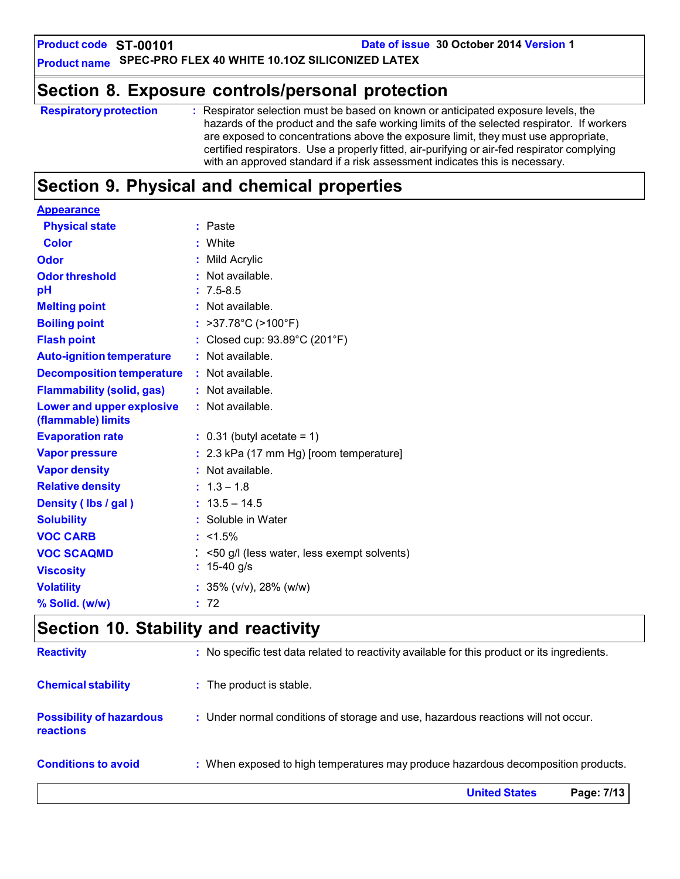**Product code ST-00101**

**Date of issue 30 October 2014 Version 1**

**Product name SPEC-PRO FLEX 40 WHITE 10.1OZ SILICONIZED LATEX**

### **Section 8. Exposure controls/personal protection**

| <b>Respiratory protection</b> | : Respirator selection must be based on known or anticipated exposure levels, the           |
|-------------------------------|---------------------------------------------------------------------------------------------|
|                               | hazards of the product and the safe working limits of the selected respirator. If workers   |
|                               | are exposed to concentrations above the exposure limit, they must use appropriate,          |
|                               | certified respirators. Use a properly fitted, air-purifying or air-fed respirator complying |
|                               | with an approved standard if a risk assessment indicates this is necessary.                 |
|                               |                                                                                             |

# **Section 9. Physical and chemical properties**

| <b>Appearance</b>                               |                                                |
|-------------------------------------------------|------------------------------------------------|
| <b>Physical state</b>                           | : Paste                                        |
| Color                                           | : White                                        |
| Odor                                            | : Mild Acrylic                                 |
| <b>Odor threshold</b>                           | : Not available.                               |
| pH                                              | $: 7.5 - 8.5$                                  |
| <b>Melting point</b>                            | : Not available.                               |
| <b>Boiling point</b>                            | : $>37.78^{\circ}C$ ( $>100^{\circ}F$ )        |
| <b>Flash point</b>                              | : Closed cup: 93.89°C (201°F)                  |
| <b>Auto-ignition temperature</b>                | : Not available.                               |
| <b>Decomposition temperature</b>                | : Not available.                               |
| <b>Flammability (solid, gas)</b>                | : Not available.                               |
| Lower and upper explosive<br>(flammable) limits | : Not available.                               |
| <b>Evaporation rate</b>                         | $: 0.31$ (butyl acetate = 1)                   |
| <b>Vapor pressure</b>                           | : 2.3 kPa (17 mm Hg) [room temperature]        |
| <b>Vapor density</b>                            | : Not available.                               |
| <b>Relative density</b>                         | $: 1.3 - 1.8$                                  |
| Density (Ibs / gal)                             | $: 13.5 - 14.5$                                |
| <b>Solubility</b>                               | : Soluble in Water                             |
| <b>VOC CARB</b>                                 | $: 1.5\%$                                      |
| <b>VOC SCAQMD</b>                               | $:$ <50 g/l (less water, less exempt solvents) |
| <b>Viscosity</b>                                | : $15-40$ g/s                                  |
| <b>Volatility</b>                               | : $35\%$ (v/v), 28% (w/w)                      |
| % Solid. (w/w)                                  | : 72                                           |
|                                                 |                                                |

### **Section 10. Stability and reactivity**

|                                                     | <b>United States</b><br>Page: 7/13                                                           |
|-----------------------------------------------------|----------------------------------------------------------------------------------------------|
| <b>Conditions to avoid</b>                          | : When exposed to high temperatures may produce hazardous decomposition products.            |
| <b>Possibility of hazardous</b><br><b>reactions</b> | : Under normal conditions of storage and use, hazardous reactions will not occur.            |
| <b>Chemical stability</b>                           | : The product is stable.                                                                     |
| <b>Reactivity</b>                                   | : No specific test data related to reactivity available for this product or its ingredients. |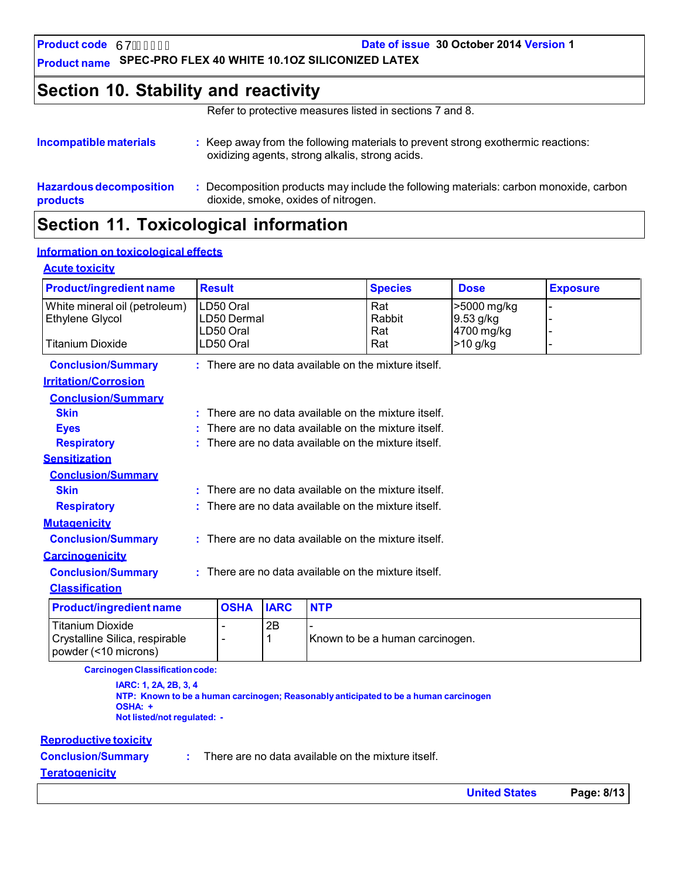**Product code** 67

**Date of issue 30 October 2014 Version 1**

**Product name SPEC-PRO FLEX 40 WHITE 10.1OZ SILICONIZED LATEX**

### **Section 10. Stability and reactivity**

Refer to protective measures listed in sections 7 and 8.

| Incompatible materials         | : Keep away from the following materials to prevent strong exothermic reactions:<br>oxidizing agents, strong alkalis, strong acids. |  |  |  |
|--------------------------------|-------------------------------------------------------------------------------------------------------------------------------------|--|--|--|
| <b>Hazardous decomposition</b> | Decomposition products may include the following materials: carbon monoxide, carbon                                                 |  |  |  |
| products                       | dioxide, smoke, oxides of nitrogen.                                                                                                 |  |  |  |

# **Section 11. Toxicological information**

### **Information on toxicological effects**

#### **Acute toxicity**

| <b>Product/ingredient name</b> | <b>Result</b>          |             |            | <b>Species</b>                                         | <b>Dose</b>              | <b>Exposure</b> |
|--------------------------------|------------------------|-------------|------------|--------------------------------------------------------|--------------------------|-----------------|
| White mineral oil (petroleum)  | LD50 Oral              |             |            | Rat                                                    | >5000 mg/kg              |                 |
| Ethylene Glycol                | LD50 Dermal            |             |            | Rabbit                                                 | 9.53 g/kg                |                 |
| <b>Titanium Dioxide</b>        | LD50 Oral<br>LD50 Oral |             |            | Rat<br>Rat                                             | 4700 mg/kg<br>$>10$ g/kg |                 |
|                                |                        |             |            |                                                        |                          |                 |
| <b>Conclusion/Summary</b>      |                        |             |            | $:$ There are no data available on the mixture itself. |                          |                 |
| <b>Irritation/Corrosion</b>    |                        |             |            |                                                        |                          |                 |
| <b>Conclusion/Summary</b>      |                        |             |            |                                                        |                          |                 |
| <b>Skin</b>                    |                        |             |            | : There are no data available on the mixture itself.   |                          |                 |
| <b>Eyes</b>                    |                        |             |            | $:$ There are no data available on the mixture itself. |                          |                 |
| <b>Respiratory</b>             |                        |             |            | $:$ There are no data available on the mixture itself. |                          |                 |
| <b>Sensitization</b>           |                        |             |            |                                                        |                          |                 |
| <b>Conclusion/Summary</b>      |                        |             |            |                                                        |                          |                 |
| <b>Skin</b>                    |                        |             |            | $:$ There are no data available on the mixture itself. |                          |                 |
| <b>Respiratory</b>             |                        |             |            | $:$ There are no data available on the mixture itself. |                          |                 |
| <b>Mutagenicity</b>            |                        |             |            |                                                        |                          |                 |
| <b>Conclusion/Summary</b>      |                        |             |            | $:$ There are no data available on the mixture itself. |                          |                 |
| <b>Carcinogenicity</b>         |                        |             |            |                                                        |                          |                 |
| <b>Conclusion/Summary</b>      |                        |             |            | : There are no data available on the mixture itself.   |                          |                 |
| <b>Classification</b>          |                        |             |            |                                                        |                          |                 |
| <b>Product/ingredient name</b> | <b>OSHA</b>            | <b>IARC</b> | <b>NTP</b> |                                                        |                          |                 |
| <b>Titanium Dioxide</b>        |                        | 2B          |            |                                                        |                          |                 |
| Crystalline Silica, respirable | $\blacksquare$         | 1           |            | Known to be a human carcinogen.                        |                          |                 |

**CarcinogenClassificationcode:**

**IARC: 1, 2A, 2B, 3, 4 NTP: Known to be a human carcinogen; Reasonably anticipated to be a human carcinogen OSHA: + Not listed/not regulated: -**

#### **Reproductive toxicity**

powder (<10 microns)

**Conclusion/Summary :**

There are no data available on the mixture itself.

#### **Teratogenicity**

**United States Page: 8/13**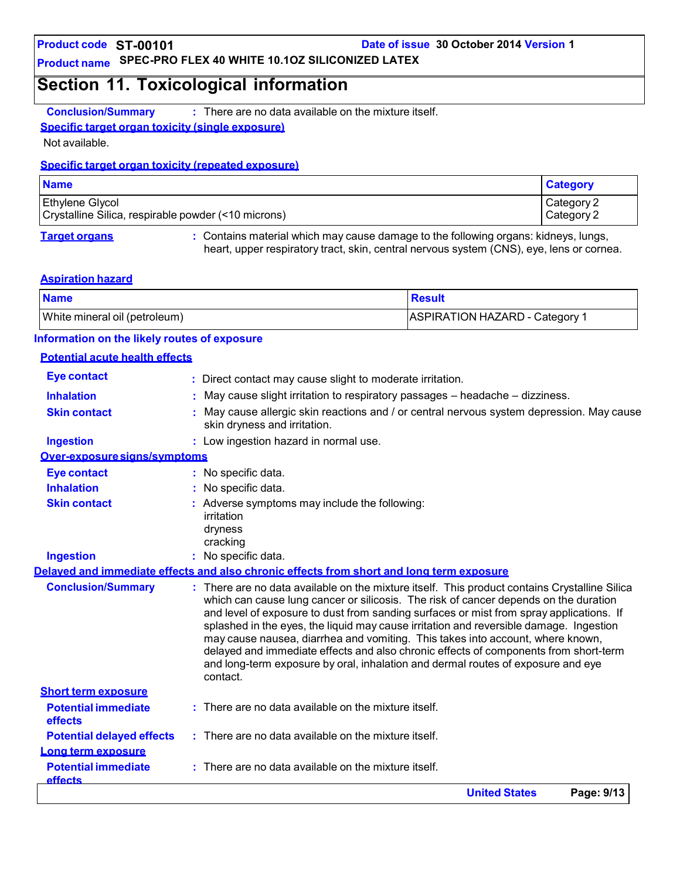**Product code ST-00101**

**Date of issue 30 October 2014 Version 1**

### **Product name SPEC-PRO FLEX 40 WHITE 10.1OZ SILICONIZED LATEX**

### **Section 11. Toxicological information**

**Conclusion/Summary :** There are no data available on the mixture itself.

#### **Specific target organ toxicity (single exposure)**

Not available.

#### **Specific target organ toxicity (repeated exposure)**

| <b>Name</b>                                         | <b>Category</b> |
|-----------------------------------------------------|-----------------|
| <b>Ethylene Glycol</b>                              | Category 2      |
| Crystalline Silica, respirable powder (<10 microns) | Category 2      |

**Target organs :** Contains material which may cause damage to the following organs: kidneys, lungs, heart, upper respiratory tract, skin, central nervous system (CNS), eye, lens or cornea.

#### **Aspiration hazard**

| <b>Name</b>                   | ⊺Result                               |
|-------------------------------|---------------------------------------|
| White mineral oil (petroleum) | <b>ASPIRATION HAZARD - Category 1</b> |

#### **Information on the likely routes of exposure**

#### **Potential acute health effects**

|                                                          | <b>United States</b><br>Page: 9/13                                                                                                                                                                                                                                                                                                                                                                                                                                                                                                                                                                                                                   |
|----------------------------------------------------------|------------------------------------------------------------------------------------------------------------------------------------------------------------------------------------------------------------------------------------------------------------------------------------------------------------------------------------------------------------------------------------------------------------------------------------------------------------------------------------------------------------------------------------------------------------------------------------------------------------------------------------------------------|
| <b>Potential immediate</b><br><b>effects</b>             | There are no data available on the mixture itself.                                                                                                                                                                                                                                                                                                                                                                                                                                                                                                                                                                                                   |
| Long term exposure                                       |                                                                                                                                                                                                                                                                                                                                                                                                                                                                                                                                                                                                                                                      |
| <b>Potential delayed effects</b>                         | $:$ There are no data available on the mixture itself.                                                                                                                                                                                                                                                                                                                                                                                                                                                                                                                                                                                               |
| effects                                                  |                                                                                                                                                                                                                                                                                                                                                                                                                                                                                                                                                                                                                                                      |
| <b>Short term exposure</b><br><b>Potential immediate</b> | $:$ There are no data available on the mixture itself.                                                                                                                                                                                                                                                                                                                                                                                                                                                                                                                                                                                               |
| <b>Conclusion/Summary</b>                                | : There are no data available on the mixture itself. This product contains Crystalline Silica<br>which can cause lung cancer or silicosis. The risk of cancer depends on the duration<br>and level of exposure to dust from sanding surfaces or mist from spray applications. If<br>splashed in the eyes, the liquid may cause irritation and reversible damage. Ingestion<br>may cause nausea, diarrhea and vomiting. This takes into account, where known,<br>delayed and immediate effects and also chronic effects of components from short-term<br>and long-term exposure by oral, inhalation and dermal routes of exposure and eye<br>contact. |
|                                                          | Delaved and immediate effects and also chronic effects from short and long term exposure                                                                                                                                                                                                                                                                                                                                                                                                                                                                                                                                                             |
| <b>Ingestion</b>                                         | dryness<br>cracking<br>: No specific data.                                                                                                                                                                                                                                                                                                                                                                                                                                                                                                                                                                                                           |
| <b>Skin contact</b>                                      | : Adverse symptoms may include the following:<br>irritation                                                                                                                                                                                                                                                                                                                                                                                                                                                                                                                                                                                          |
| <b>Inhalation</b>                                        | No specific data.                                                                                                                                                                                                                                                                                                                                                                                                                                                                                                                                                                                                                                    |
| <b>Eye contact</b>                                       | : No specific data.                                                                                                                                                                                                                                                                                                                                                                                                                                                                                                                                                                                                                                  |
| Over-exposure signs/symptoms                             |                                                                                                                                                                                                                                                                                                                                                                                                                                                                                                                                                                                                                                                      |
| <b>Ingestion</b>                                         | : Low ingestion hazard in normal use.                                                                                                                                                                                                                                                                                                                                                                                                                                                                                                                                                                                                                |
| <b>Skin contact</b>                                      | May cause allergic skin reactions and / or central nervous system depression. May cause<br>skin dryness and irritation.                                                                                                                                                                                                                                                                                                                                                                                                                                                                                                                              |
| <b>Inhalation</b>                                        | May cause slight irritation to respiratory passages - headache - dizziness.                                                                                                                                                                                                                                                                                                                                                                                                                                                                                                                                                                          |
| <b>Eye contact</b>                                       | : Direct contact may cause slight to moderate irritation.                                                                                                                                                                                                                                                                                                                                                                                                                                                                                                                                                                                            |
|                                                          |                                                                                                                                                                                                                                                                                                                                                                                                                                                                                                                                                                                                                                                      |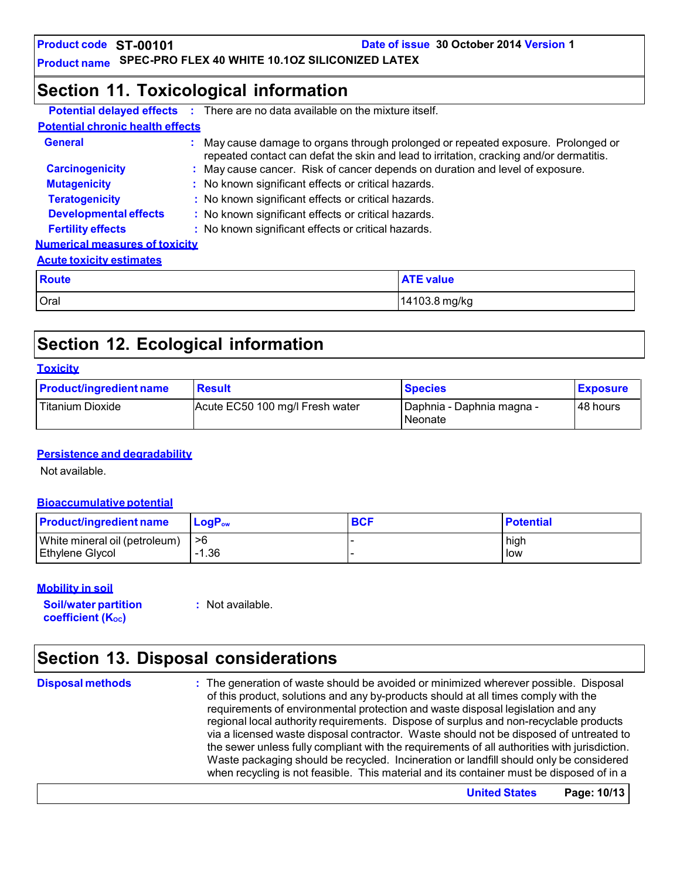**Product code ST-00101**

**Date of issue 30 October 2014 Version 1**

**Product name SPEC-PRO FLEX 40 WHITE 10.1OZ SILICONIZED LATEX**

### **Section 11. Toxicological information**

|                                         | <b>Potential delayed effects</b> : There are no data available on the mixture itself.                                                                                      |                                                                               |  |  |
|-----------------------------------------|----------------------------------------------------------------------------------------------------------------------------------------------------------------------------|-------------------------------------------------------------------------------|--|--|
| <b>Potential chronic health effects</b> |                                                                                                                                                                            |                                                                               |  |  |
| <b>General</b>                          | May cause damage to organs through prolonged or repeated exposure. Prolonged or<br>repeated contact can defat the skin and lead to irritation, cracking and/or dermatitis. |                                                                               |  |  |
| <b>Carcinogenicity</b>                  |                                                                                                                                                                            | : May cause cancer. Risk of cancer depends on duration and level of exposure. |  |  |
| <b>Mutagenicity</b>                     | : No known significant effects or critical hazards.                                                                                                                        |                                                                               |  |  |
| <b>Teratogenicity</b>                   | : No known significant effects or critical hazards.                                                                                                                        |                                                                               |  |  |
| <b>Developmental effects</b>            | : No known significant effects or critical hazards.                                                                                                                        |                                                                               |  |  |
| <b>Fertility effects</b>                | : No known significant effects or critical hazards.                                                                                                                        |                                                                               |  |  |
| <b>Numerical measures of toxicity</b>   |                                                                                                                                                                            |                                                                               |  |  |
| <b>Acute toxicity estimates</b>         |                                                                                                                                                                            |                                                                               |  |  |
| <b>Route</b>                            |                                                                                                                                                                            | <b>ATE value</b>                                                              |  |  |
| Oral                                    |                                                                                                                                                                            | 14103.8 mg/kg                                                                 |  |  |

### **Section 12. Ecological information**

#### **Toxicity Product/ingredient name** Result **Result Result Exposure Exposure** Titanium Dioxide **Acute EC50 100 mg/l Fresh water** Plaphnia - Daphnia magna -**Neonate** 48 hours

#### **Persistence and degradability**

Not available.

#### **Bioaccumulative potential**

| <b>Product/ingredient name</b> | $\mathsf{LogP}_\mathsf{ow}$ | <b>BCF</b> | <b>Potential</b> |
|--------------------------------|-----------------------------|------------|------------------|
| White mineral oil (petroleum)  | ->6                         |            | high             |
| Ethylene Glycol                | $-1.36$                     |            | low              |

#### **Mobility in soil**

**Soil/water partition coefficient** (K<sub>oc</sub>)

**:** Not available.

### **Section 13. Disposal considerations**

**Disposal methods :** The generation of waste should be avoided or minimized wherever possible. Disposal of this product, solutions and any by-products should at all times comply with the requirements of environmental protection and waste disposal legislation and any regional local authority requirements. Dispose of surplus and non-recyclable products via a licensed waste disposal contractor. Waste should not be disposed of untreated to the sewer unless fully compliant with the requirements of all authorities with jurisdiction. Waste packaging should be recycled. Incineration or landfill should only be considered when recycling is not feasible. This material and its container must be disposed of in a

**United States Page: 10/13**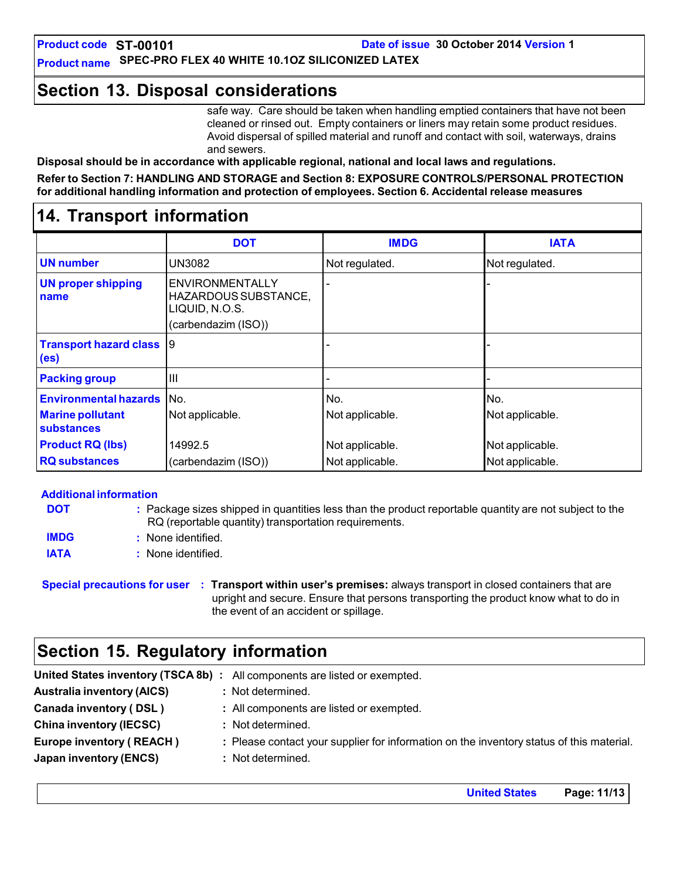### **Section 13. Disposal considerations**

safe way. Care should be taken when handling emptied containers that have not been cleaned or rinsed out. Empty containers or liners may retain some product residues. Avoid dispersal of spilled material and runoff and contact with soil, waterways, drains and sewers.

**Disposal should be in accordance with applicable regional, national and local laws and regulations. Refer to Section 7: HANDLING AND STORAGE and Section 8: EXPOSURE CONTROLS/PERSONAL PROTECTION for additional handling information and protection of employees. Section 6. Accidental release measures**

### **14. Transport information**

|                                                      | <b>DOT</b>                                                                              | <b>IMDG</b>     | <b>IATA</b>     |
|------------------------------------------------------|-----------------------------------------------------------------------------------------|-----------------|-----------------|
| <b>UN</b> number                                     | UN3082                                                                                  | Not regulated.  | Not regulated.  |
| <b>UN proper shipping</b><br>name                    | <b>ENVIRONMENTALLY</b><br>HAZARDOUS SUBSTANCE,<br>LIQUID, N.O.S.<br>(carbendazim (ISO)) |                 |                 |
| <b>Transport hazard class</b> 9<br>(e <sub>s</sub> ) |                                                                                         |                 |                 |
| <b>Packing group</b>                                 | $\mathbf{III}$                                                                          |                 |                 |
| <b>Environmental hazards</b> No.                     |                                                                                         | No.             | No.             |
| <b>Marine pollutant</b><br>substances                | Not applicable.                                                                         | Not applicable. | Not applicable. |
| <b>Product RQ (lbs)</b>                              | 14992.5                                                                                 | Not applicable. | Not applicable. |
| <b>RQ substances</b>                                 | (carbendazim (ISO))                                                                     | Not applicable. | Not applicable. |

#### **Additional information**

| <b>DOT</b>  | : Package sizes shipped in quantities less than the product reportable quantity are not subject to the<br>RQ (reportable quantity) transportation requirements. |
|-------------|-----------------------------------------------------------------------------------------------------------------------------------------------------------------|
| <b>IMDG</b> | None identified.                                                                                                                                                |
| <b>IATA</b> | : None identified.                                                                                                                                              |

**Special precautions for user : Transport within user's premises:** always transport in closed containers that are upright and secure. Ensure that persons transporting the product know what to do in the event of an accident or spillage.

### **Section 15. Regulatory information**

|                                   | United States inventory (TSCA 8b) : All components are listed or exempted.               |
|-----------------------------------|------------------------------------------------------------------------------------------|
| <b>Australia inventory (AICS)</b> | : Not determined.                                                                        |
| Canada inventory (DSL)            | : All components are listed or exempted.                                                 |
| <b>China inventory (IECSC)</b>    | : Not determined.                                                                        |
| <b>Europe inventory (REACH)</b>   | : Please contact your supplier for information on the inventory status of this material. |
| Japan inventory (ENCS)            | : Not determined.                                                                        |

**United States Page: 11/13**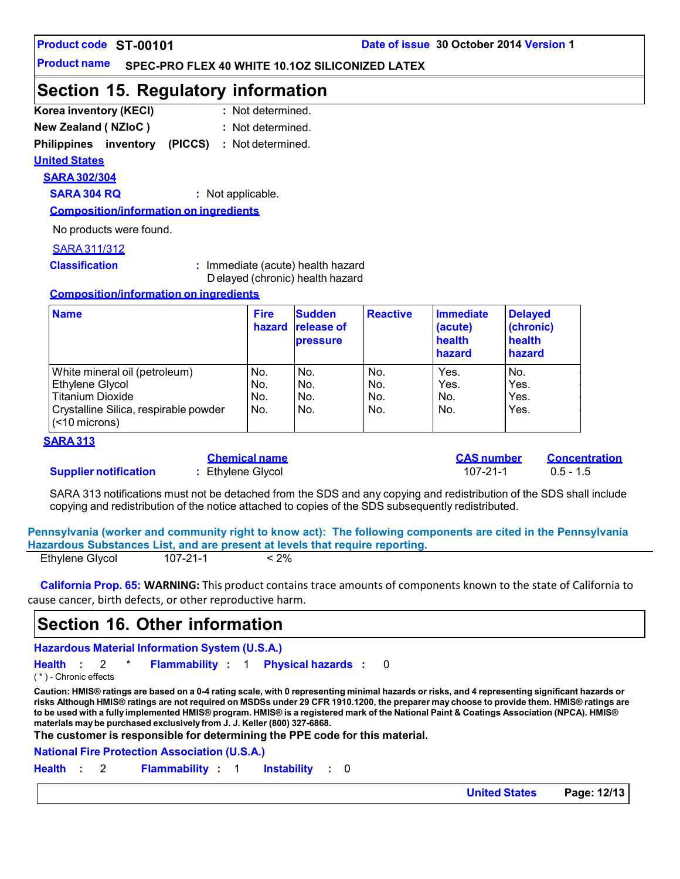#### **Product code**

#### **Product name SPEC-PRO FLEX 40 WHITE 10.1OZ SILICONIZED LATEX**

### **Section 15. Regulatory information**

| Korea inventory (KECI)     |  | : Not determined. |
|----------------------------|--|-------------------|
| <b>New Zealand (NZIoC)</b> |  | : Not determined. |

#### **Philippines inventory (PICCS) :** Not determined.

**United States**

#### **SARA 302/304**

**SARA 304 RQ :** Not applicable.

**Composition/information on ingredients**

No products were found.

#### SARA311/312

**Classification :** Immediate (acute) health hazard D elayed (chronic) health hazard

#### **Composition/information on ingredients**

| <b>Name</b>                                            | <b>Fire</b><br>hazard | <b>Sudden</b><br><b>release of</b><br><b>pressure</b> | <b>Reactive</b> | Immediate<br>(acute)<br>health<br>hazard | <b>Delayed</b><br>(chronic)<br>health<br>hazard |
|--------------------------------------------------------|-----------------------|-------------------------------------------------------|-----------------|------------------------------------------|-------------------------------------------------|
| White mineral oil (petroleum)                          | No.                   | No.                                                   | No.             | Yes.                                     | No.                                             |
| Ethylene Glycol                                        | No.                   | No.                                                   | No.             | Yes.                                     | Yes.                                            |
| <b>Titanium Dioxide</b>                                | No.                   | No.                                                   | No.             | No.                                      | Yes.                                            |
| Crystalline Silica, respirable powder<br>(<10 microns) | No.                   | No.                                                   | No.             | No.                                      | Yes.                                            |

#### **SARA 313**

#### **Supplier notification :** Ethylene Glycol 107-21-1 0.5 - 1.5

**Chemical name CAS number Concentration**

SARA 313 notifications must not be detached from the SDS and any copying and redistribution of the SDS shall include copying and redistribution of the notice attached to copies of the SDS subsequently redistributed.

**Pennsylvania (worker and community right to know act): The following components are cited in the Pennsylvania Hazardous Substances List, and are present at levels that require reporting.** Ethylene Glycol 107-21-1 < 2%

| California Prop. 65: WARNING: This product contains trace amounts of components known to the state of California to |
|---------------------------------------------------------------------------------------------------------------------|
| cause cancer, birth defects, or other reproductive harm.                                                            |

### **Section 16. Other information**

**Hazardous Material Information System (U.S.A.)**

**Health :** 2 \* **Flammability :** 1 **Physical hazards :** 0

( \* ) - Chronic effects

Caution: HMIS® ratings are based on a 0-4 rating scale, with 0 representing minimal hazards or risks, and 4 representing significant hazards or risks Although HMIS® ratings are not required on MSDSs under 29 CFR 1910.1200, the preparer may choose to provide them. HMIS® ratings are to be used with a fully implemented HMIS® program. HMIS® is a registered mark of the National Paint & Coatings Association (NPCA). HMIS® **materials maybe purchased exclusively from J. J. Keller (800) 327-6868.**

**The customer is responsible for determining the PPE code for this material.**

**National Fire Protection Association (U.S.A.)**

**Health :** 2 **Flammability :** 1 **Instability :** 0

**United States Page: 12/13**